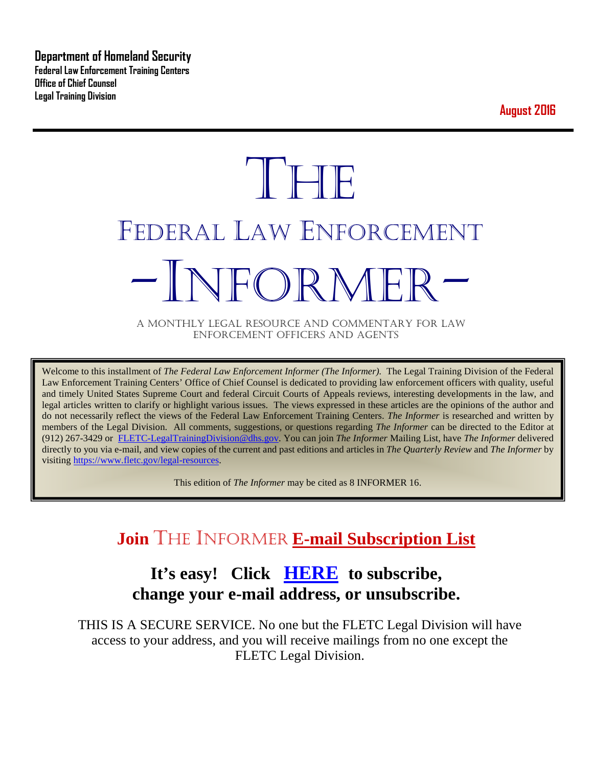**Department of Homeland Security Federal Law Enforcement Training Centers Office of Chief Counsel Legal Training Division** 

**August 2016**

# **THE** FEDERAL LAW ENFORCEMENT -INFORMER- A MONTHLY LEGAL RESOURCE AND COMMENTARY FOR LAW

ENFORCEMENT OFFICERS AND AGENTS

Welcome to this installment of *The Federal Law Enforcement Informer (The Informer).* The Legal Training Division of the Federal Law Enforcement Training Centers' Office of Chief Counsel is dedicated to providing law enforcement officers with quality, useful and timely United States Supreme Court and federal Circuit Courts of Appeals reviews, interesting developments in the law, and legal articles written to clarify or highlight various issues. The views expressed in these articles are the opinions of the author and do not necessarily reflect the views of the Federal Law Enforcement Training Centers. *The Informer* is researched and written by members of the Legal Division. All comments, suggestions, or questions regarding *The Informer* can be directed to the Editor at (912) 267-3429 or [FLETC-LegalTrainingDivision@dhs.gov.](mailto:FLETC-LegalTrainingDivision@dhs.gov) You can join *The Informer* Mailing List, have *The Informer* delivered directly to you via e-mail, and view copies of the current and past editions and articles in *The Quarterly Review* and *The Informer* by visiting [https://www.fletc.gov/legal-resources.](https://www.fletc.gov/legal-resources) 

This edition of *The Informer* may be cited as 8 INFORMER 16.

# **Join** THE INFORMER **E-mail Subscription List**

# **It's easy! Click [HERE](http://peach.ease.lsoft.com/scripts/wa.exe?SUBED1=fletclgd&A=1) to subscribe, change your e-mail address, or unsubscribe.**

THIS IS A SECURE SERVICE. No one but the FLETC Legal Division will have access to your address, and you will receive mailings from no one except the FLETC Legal Division.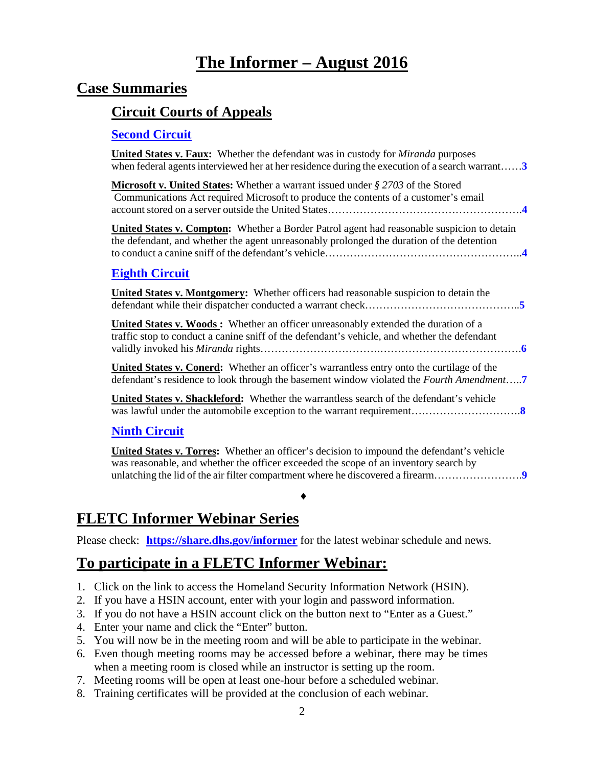# **The Informer – August 2016**

#### **Case Summaries**

#### **[Circuit Courts of Appeals](#page-2-0)**

#### **[Second Circuit](#page-2-1)**

| <b>United States v. Faux:</b> Whether the defendant was in custody for <i>Miranda</i> purposes<br>when federal agents interviewed her at her residence during the execution of a search warrant $3$ |
|-----------------------------------------------------------------------------------------------------------------------------------------------------------------------------------------------------|
| <b>Microsoft v. United States:</b> Whether a warrant issued under $\S 2703$ of the Stored<br>Communications Act required Microsoft to produce the contents of a customer's email                    |
| <b>United States v. Compton:</b> Whether a Border Patrol agent had reasonable suspicion to detain<br>the defendant, and whether the agent unreasonably prolonged the duration of the detention      |
| <b>Eighth Circuit</b>                                                                                                                                                                               |
| <b>United States v. Montgomery:</b> Whether officers had reasonable suspicion to detain the                                                                                                         |
| <b>United States v. Woods:</b> Whether an officer unreasonably extended the duration of a<br>traffic stop to conduct a canine sniff of the defendant's vehicle, and whether the defendant           |
| <b>United States v. Conerd:</b> Whether an officer's warrantless entry onto the curtilage of the<br>defendant's residence to look through the basement window violated the Fourth Amendment         |
| <b>United States v. Shackleford:</b> Whether the warrantless search of the defendant's vehicle                                                                                                      |
| <b>Ninth Circuit</b>                                                                                                                                                                                |

**United States v. Torres:** Whether an officer's decision to impound the defendant's vehicle was reasonable, and whether the officer exceeded the scope of an inventory search by unlatching the lid of the air filter compartment where he discovered a firearm…………………….**[9](#page-8-1)**

♦

## **FLETC Informer Webinar Series**

Please check: **<https://share.dhs.gov/informer>** for the latest webinar schedule and news.

## **To participate in a FLETC Informer Webinar:**

- 1. Click on the link to access the Homeland Security Information Network (HSIN).
- 2. If you have a HSIN account, enter with your login and password information.
- 3. If you do not have a HSIN account click on the button next to "Enter as a Guest."
- 4. Enter your name and click the "Enter" button.
- 5. You will now be in the meeting room and will be able to participate in the webinar.
- 6. Even though meeting rooms may be accessed before a webinar, there may be times when a meeting room is closed while an instructor is setting up the room.
- 7. Meeting rooms will be open at least one-hour before a scheduled webinar.
- 8. Training certificates will be provided at the conclusion of each webinar.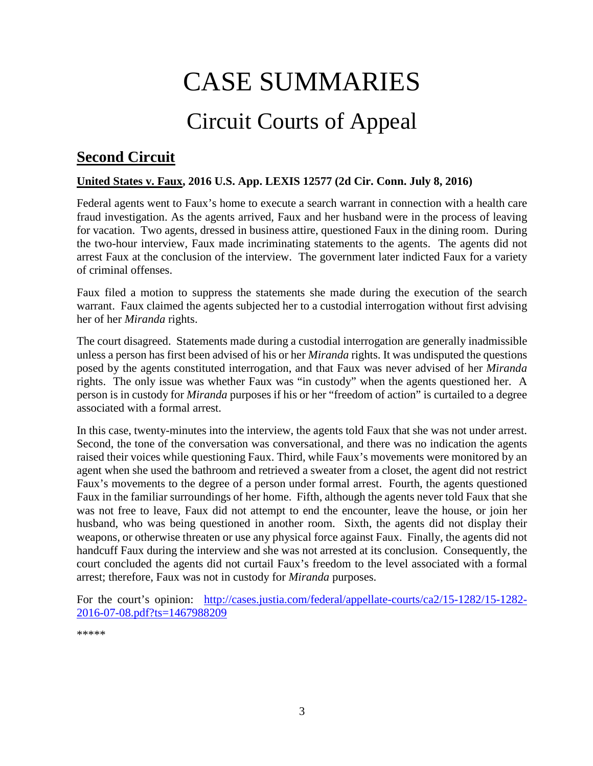# CASE SUMMARIES

# Circuit Courts of Appeal

# <span id="page-2-1"></span><span id="page-2-0"></span>**Second Circuit**

#### <span id="page-2-2"></span>**United States v. Faux, 2016 U.S. App. LEXIS 12577 (2d Cir. Conn. July 8, 2016)**

Federal agents went to Faux's home to execute a search warrant in connection with a health care fraud investigation. As the agents arrived, Faux and her husband were in the process of leaving for vacation. Two agents, dressed in business attire, questioned Faux in the dining room. During the two-hour interview, Faux made incriminating statements to the agents. The agents did not arrest Faux at the conclusion of the interview. The government later indicted Faux for a variety of criminal offenses.

Faux filed a motion to suppress the statements she made during the execution of the search warrant. Faux claimed the agents subjected her to a custodial interrogation without first advising her of her *Miranda* rights.

The court disagreed. Statements made during a custodial interrogation are generally inadmissible unless a person has first been advised of his or her *Miranda* rights. It was undisputed the questions posed by the agents constituted interrogation, and that Faux was never advised of her *Miranda* rights. The only issue was whether Faux was "in custody" when the agents questioned her. A person is in custody for *Miranda* purposes if his or her "freedom of action" is curtailed to a degree associated with a formal arrest.

In this case, twenty-minutes into the interview, the agents told Faux that she was not under arrest. Second, the tone of the conversation was conversational, and there was no indication the agents raised their voices while questioning Faux. Third, while Faux's movements were monitored by an agent when she used the bathroom and retrieved a sweater from a closet, the agent did not restrict Faux's movements to the degree of a person under formal arrest. Fourth, the agents questioned Faux in the familiar surroundings of her home. Fifth, although the agents never told Faux that she was not free to leave, Faux did not attempt to end the encounter, leave the house, or join her husband, who was being questioned in another room. Sixth, the agents did not display their weapons, or otherwise threaten or use any physical force against Faux. Finally, the agents did not handcuff Faux during the interview and she was not arrested at its conclusion. Consequently, the court concluded the agents did not curtail Faux's freedom to the level associated with a formal arrest; therefore, Faux was not in custody for *Miranda* purposes.

For the court's opinion: [http://cases.justia.com/federal/appellate-courts/ca2/15-1282/15-1282-](http://cases.justia.com/federal/appellate-courts/ca2/15-1282/15-1282-2016-07-08.pdf?ts=1467988209) [2016-07-08.pdf?ts=1467988209](http://cases.justia.com/federal/appellate-courts/ca2/15-1282/15-1282-2016-07-08.pdf?ts=1467988209)

<span id="page-2-3"></span>\*\*\*\*\*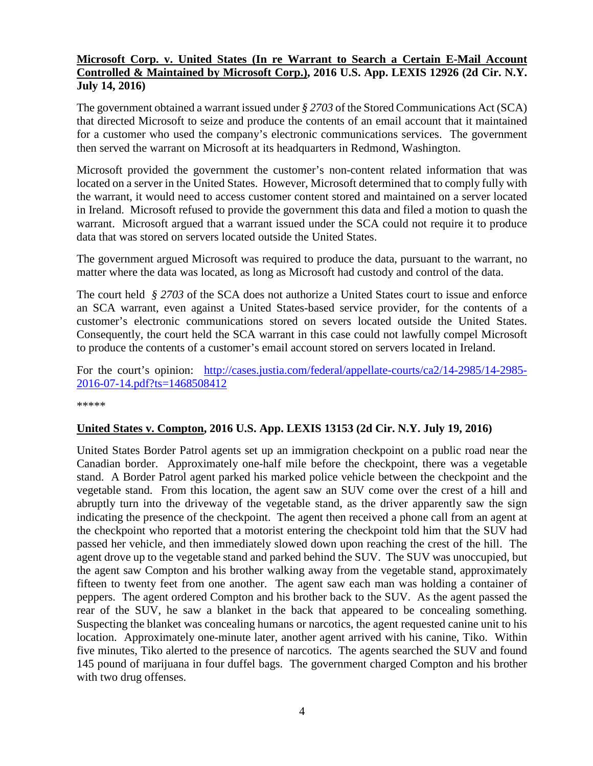#### **Microsoft Corp. v. United States (In re Warrant to Search a Certain E-Mail Account Controlled & Maintained by Microsoft Corp.), 2016 U.S. App. LEXIS 12926 (2d Cir. N.Y. July 14, 2016)**

The government obtained a warrant issued under *§ 2703* of the Stored Communications Act (SCA) that directed Microsoft to seize and produce the contents of an email account that it maintained for a customer who used the company's electronic communications services. The government then served the warrant on Microsoft at its headquarters in Redmond, Washington.

Microsoft provided the government the customer's non-content related information that was located on a server in the United States. However, Microsoft determined that to comply fully with the warrant, it would need to access customer content stored and maintained on a server located in Ireland. Microsoft refused to provide the government this data and filed a motion to quash the warrant. Microsoft argued that a warrant issued under the SCA could not require it to produce data that was stored on servers located outside the United States.

The government argued Microsoft was required to produce the data, pursuant to the warrant, no matter where the data was located, as long as Microsoft had custody and control of the data.

The court held *§ 2703* of the SCA does not authorize a United States court to issue and enforce an SCA warrant, even against a United States-based service provider, for the contents of a customer's electronic communications stored on severs located outside the United States. Consequently, the court held the SCA warrant in this case could not lawfully compel Microsoft to produce the contents of a customer's email account stored on servers located in Ireland.

For the court's opinion: [http://cases.justia.com/federal/appellate-courts/ca2/14-2985/14-2985-](http://cases.justia.com/federal/appellate-courts/ca2/14-2985/14-2985-2016-07-14.pdf?ts=1468508412) [2016-07-14.pdf?ts=1468508412](http://cases.justia.com/federal/appellate-courts/ca2/14-2985/14-2985-2016-07-14.pdf?ts=1468508412)

\*\*\*\*\*

#### <span id="page-3-0"></span>**United States v. Compton, 2016 U.S. App. LEXIS 13153 (2d Cir. N.Y. July 19, 2016)**

United States Border Patrol agents set up an immigration checkpoint on a public road near the Canadian border. Approximately one-half mile before the checkpoint, there was a vegetable stand. A Border Patrol agent parked his marked police vehicle between the checkpoint and the vegetable stand. From this location, the agent saw an SUV come over the crest of a hill and abruptly turn into the driveway of the vegetable stand, as the driver apparently saw the sign indicating the presence of the checkpoint. The agent then received a phone call from an agent at the checkpoint who reported that a motorist entering the checkpoint told him that the SUV had passed her vehicle, and then immediately slowed down upon reaching the crest of the hill. The agent drove up to the vegetable stand and parked behind the SUV. The SUV was unoccupied, but the agent saw Compton and his brother walking away from the vegetable stand, approximately fifteen to twenty feet from one another. The agent saw each man was holding a container of peppers. The agent ordered Compton and his brother back to the SUV. As the agent passed the rear of the SUV, he saw a blanket in the back that appeared to be concealing something. Suspecting the blanket was concealing humans or narcotics, the agent requested canine unit to his location. Approximately one-minute later, another agent arrived with his canine, Tiko. Within five minutes, Tiko alerted to the presence of narcotics. The agents searched the SUV and found 145 pound of marijuana in four duffel bags. The government charged Compton and his brother with two drug offenses.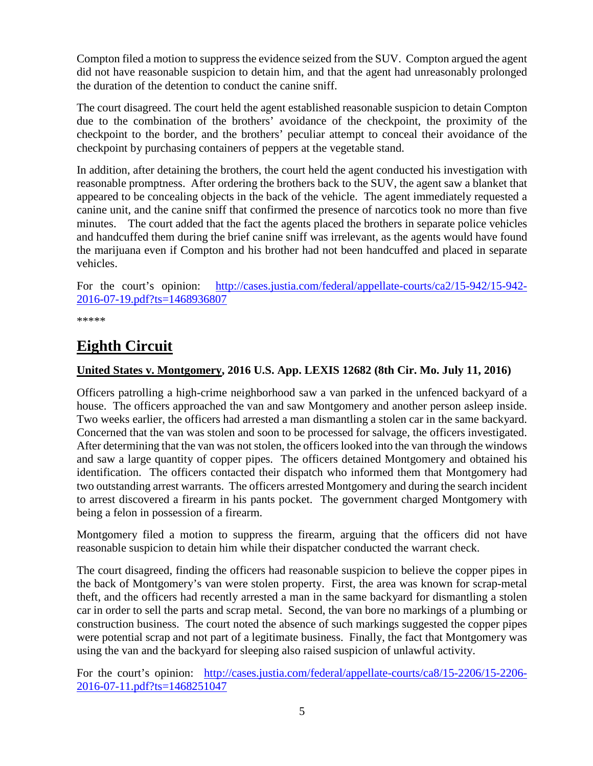Compton filed a motion to suppress the evidence seized from the SUV. Compton argued the agent did not have reasonable suspicion to detain him, and that the agent had unreasonably prolonged the duration of the detention to conduct the canine sniff.

The court disagreed. The court held the agent established reasonable suspicion to detain Compton due to the combination of the brothers' avoidance of the checkpoint, the proximity of the checkpoint to the border, and the brothers' peculiar attempt to conceal their avoidance of the checkpoint by purchasing containers of peppers at the vegetable stand.

In addition, after detaining the brothers, the court held the agent conducted his investigation with reasonable promptness. After ordering the brothers back to the SUV, the agent saw a blanket that appeared to be concealing objects in the back of the vehicle. The agent immediately requested a canine unit, and the canine sniff that confirmed the presence of narcotics took no more than five minutes. The court added that the fact the agents placed the brothers in separate police vehicles and handcuffed them during the brief canine sniff was irrelevant, as the agents would have found the marijuana even if Compton and his brother had not been handcuffed and placed in separate vehicles.

For the court's opinion: [http://cases.justia.com/federal/appellate-courts/ca2/15-942/15-942-](http://cases.justia.com/federal/appellate-courts/ca2/15-942/15-942-2016-07-19.pdf?ts=1468936807) [2016-07-19.pdf?ts=1468936807](http://cases.justia.com/federal/appellate-courts/ca2/15-942/15-942-2016-07-19.pdf?ts=1468936807)

\*\*\*\*\*

## <span id="page-4-0"></span>**Eighth Circuit**

#### <span id="page-4-1"></span>**United States v. Montgomery, 2016 U.S. App. LEXIS 12682 (8th Cir. Mo. July 11, 2016)**

Officers patrolling a high-crime neighborhood saw a van parked in the unfenced backyard of a house. The officers approached the van and saw Montgomery and another person asleep inside. Two weeks earlier, the officers had arrested a man dismantling a stolen car in the same backyard. Concerned that the van was stolen and soon to be processed for salvage, the officers investigated. After determining that the van was not stolen, the officers looked into the van through the windows and saw a large quantity of copper pipes. The officers detained Montgomery and obtained his identification. The officers contacted their dispatch who informed them that Montgomery had two outstanding arrest warrants. The officers arrested Montgomery and during the search incident to arrest discovered a firearm in his pants pocket. The government charged Montgomery with being a felon in possession of a firearm.

Montgomery filed a motion to suppress the firearm, arguing that the officers did not have reasonable suspicion to detain him while their dispatcher conducted the warrant check.

The court disagreed, finding the officers had reasonable suspicion to believe the copper pipes in the back of Montgomery's van were stolen property. First, the area was known for scrap-metal theft, and the officers had recently arrested a man in the same backyard for dismantling a stolen car in order to sell the parts and scrap metal. Second, the van bore no markings of a plumbing or construction business. The court noted the absence of such markings suggested the copper pipes were potential scrap and not part of a legitimate business. Finally, the fact that Montgomery was using the van and the backyard for sleeping also raised suspicion of unlawful activity.

For the court's opinion: [http://cases.justia.com/federal/appellate-courts/ca8/15-2206/15-2206-](http://cases.justia.com/federal/appellate-courts/ca8/15-2206/15-2206-2016-07-11.pdf?ts=1468251047) [2016-07-11.pdf?ts=1468251047](http://cases.justia.com/federal/appellate-courts/ca8/15-2206/15-2206-2016-07-11.pdf?ts=1468251047)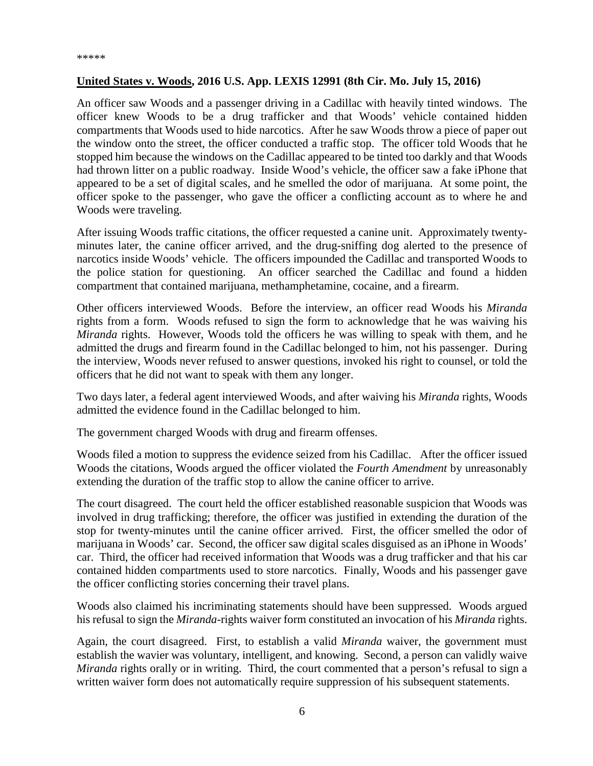#### <span id="page-5-0"></span>**United States v. Woods, 2016 U.S. App. LEXIS 12991 (8th Cir. Mo. July 15, 2016)**

An officer saw Woods and a passenger driving in a Cadillac with heavily tinted windows. The officer knew Woods to be a drug trafficker and that Woods' vehicle contained hidden compartments that Woods used to hide narcotics. After he saw Woods throw a piece of paper out the window onto the street, the officer conducted a traffic stop. The officer told Woods that he stopped him because the windows on the Cadillac appeared to be tinted too darkly and that Woods had thrown litter on a public roadway. Inside Wood's vehicle, the officer saw a fake iPhone that appeared to be a set of digital scales, and he smelled the odor of marijuana. At some point, the officer spoke to the passenger, who gave the officer a conflicting account as to where he and Woods were traveling.

After issuing Woods traffic citations, the officer requested a canine unit. Approximately twentyminutes later, the canine officer arrived, and the drug-sniffing dog alerted to the presence of narcotics inside Woods' vehicle. The officers impounded the Cadillac and transported Woods to the police station for questioning. An officer searched the Cadillac and found a hidden compartment that contained marijuana, methamphetamine, cocaine, and a firearm.

Other officers interviewed Woods. Before the interview, an officer read Woods his *Miranda*  rights from a form. Woods refused to sign the form to acknowledge that he was waiving his *Miranda* rights. However, Woods told the officers he was willing to speak with them, and he admitted the drugs and firearm found in the Cadillac belonged to him, not his passenger. During the interview, Woods never refused to answer questions, invoked his right to counsel, or told the officers that he did not want to speak with them any longer.

Two days later, a federal agent interviewed Woods, and after waiving his *Miranda* rights, Woods admitted the evidence found in the Cadillac belonged to him.

The government charged Woods with drug and firearm offenses.

Woods filed a motion to suppress the evidence seized from his Cadillac. After the officer issued Woods the citations, Woods argued the officer violated the *Fourth Amendment* by unreasonably extending the duration of the traffic stop to allow the canine officer to arrive.

The court disagreed. The court held the officer established reasonable suspicion that Woods was involved in drug trafficking; therefore, the officer was justified in extending the duration of the stop for twenty-minutes until the canine officer arrived. First, the officer smelled the odor of marijuana in Woods' car. Second, the officer saw digital scales disguised as an iPhone in Woods' car. Third, the officer had received information that Woods was a drug trafficker and that his car contained hidden compartments used to store narcotics. Finally, Woods and his passenger gave the officer conflicting stories concerning their travel plans.

Woods also claimed his incriminating statements should have been suppressed. Woods argued his refusal to sign the *Miranda*-rights waiver form constituted an invocation of his *Miranda* rights.

Again, the court disagreed. First, to establish a valid *Miranda* waiver, the government must establish the wavier was voluntary, intelligent, and knowing. Second, a person can validly waive *Miranda* rights orally or in writing. Third, the court commented that a person's refusal to sign a written waiver form does not automatically require suppression of his subsequent statements.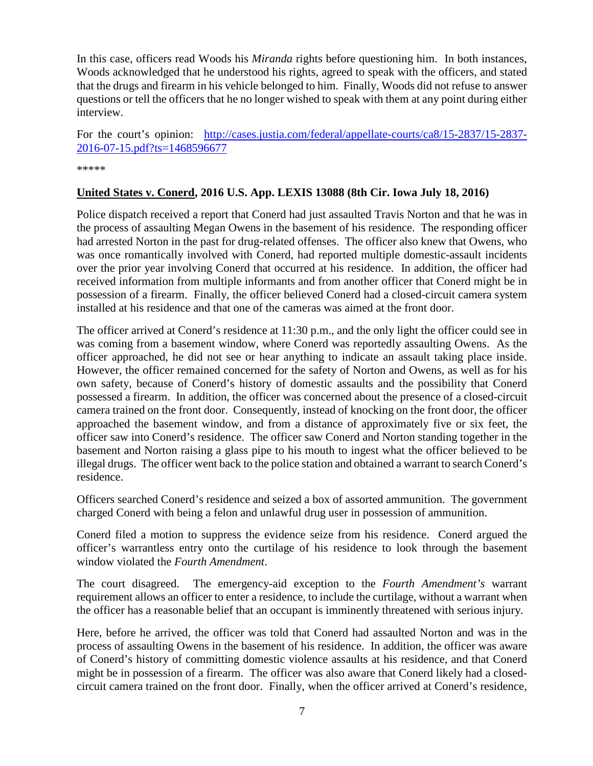In this case, officers read Woods his *Miranda* rights before questioning him. In both instances, Woods acknowledged that he understood his rights, agreed to speak with the officers, and stated that the drugs and firearm in his vehicle belonged to him. Finally, Woods did not refuse to answer questions or tell the officers that he no longer wished to speak with them at any point during either interview.

For the court's opinion: [http://cases.justia.com/federal/appellate-courts/ca8/15-2837/15-2837-](http://cases.justia.com/federal/appellate-courts/ca8/15-2837/15-2837-2016-07-15.pdf?ts=1468596677) [2016-07-15.pdf?ts=1468596677](http://cases.justia.com/federal/appellate-courts/ca8/15-2837/15-2837-2016-07-15.pdf?ts=1468596677)

\*\*\*\*\*

#### <span id="page-6-0"></span>**United States v. Conerd, 2016 U.S. App. LEXIS 13088 (8th Cir. Iowa July 18, 2016)**

Police dispatch received a report that Conerd had just assaulted Travis Norton and that he was in the process of assaulting Megan Owens in the basement of his residence. The responding officer had arrested Norton in the past for drug-related offenses. The officer also knew that Owens, who was once romantically involved with Conerd, had reported multiple domestic-assault incidents over the prior year involving Conerd that occurred at his residence. In addition, the officer had received information from multiple informants and from another officer that Conerd might be in possession of a firearm. Finally, the officer believed Conerd had a closed-circuit camera system installed at his residence and that one of the cameras was aimed at the front door.

The officer arrived at Conerd's residence at 11:30 p.m., and the only light the officer could see in was coming from a basement window, where Conerd was reportedly assaulting Owens. As the officer approached, he did not see or hear anything to indicate an assault taking place inside. However, the officer remained concerned for the safety of Norton and Owens, as well as for his own safety, because of Conerd's history of domestic assaults and the possibility that Conerd possessed a firearm. In addition, the officer was concerned about the presence of a closed-circuit camera trained on the front door. Consequently, instead of knocking on the front door, the officer approached the basement window, and from a distance of approximately five or six feet, the officer saw into Conerd's residence. The officer saw Conerd and Norton standing together in the basement and Norton raising a glass pipe to his mouth to ingest what the officer believed to be illegal drugs. The officer went back to the police station and obtained a warrant to search Conerd's residence.

Officers searched Conerd's residence and seized a box of assorted ammunition. The government charged Conerd with being a felon and unlawful drug user in possession of ammunition.

Conerd filed a motion to suppress the evidence seize from his residence. Conerd argued the officer's warrantless entry onto the curtilage of his residence to look through the basement window violated the *Fourth Amendment*.

The court disagreed. The emergency-aid exception to the *Fourth Amendment's* warrant requirement allows an officer to enter a residence, to include the curtilage, without a warrant when the officer has a reasonable belief that an occupant is imminently threatened with serious injury.

Here, before he arrived, the officer was told that Conerd had assaulted Norton and was in the process of assaulting Owens in the basement of his residence. In addition, the officer was aware of Conerd's history of committing domestic violence assaults at his residence, and that Conerd might be in possession of a firearm. The officer was also aware that Conerd likely had a closedcircuit camera trained on the front door. Finally, when the officer arrived at Conerd's residence,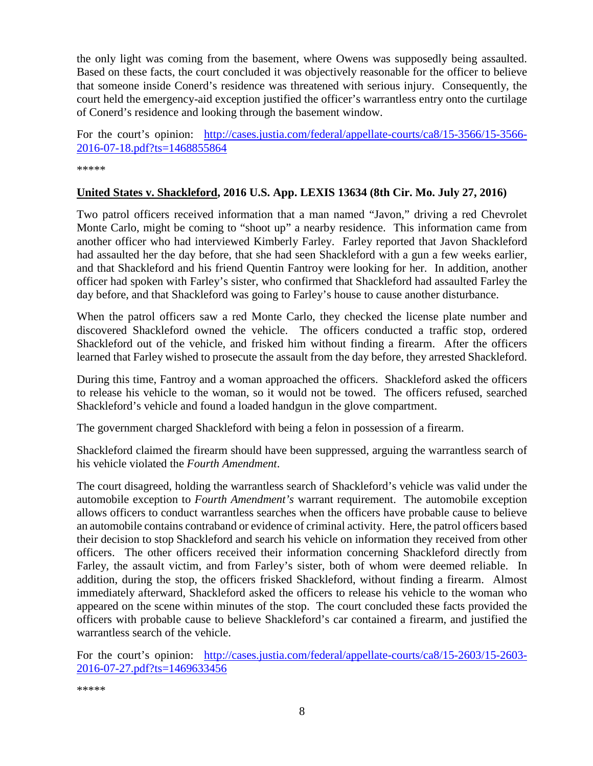the only light was coming from the basement, where Owens was supposedly being assaulted. Based on these facts, the court concluded it was objectively reasonable for the officer to believe that someone inside Conerd's residence was threatened with serious injury. Consequently, the court held the emergency-aid exception justified the officer's warrantless entry onto the curtilage of Conerd's residence and looking through the basement window.

For the court's opinion: [http://cases.justia.com/federal/appellate-courts/ca8/15-3566/15-3566-](http://cases.justia.com/federal/appellate-courts/ca8/15-3566/15-3566-2016-07-18.pdf?ts=1468855864) [2016-07-18.pdf?ts=1468855864](http://cases.justia.com/federal/appellate-courts/ca8/15-3566/15-3566-2016-07-18.pdf?ts=1468855864)

\*\*\*\*\*

#### <span id="page-7-0"></span>**United States v. Shackleford, 2016 U.S. App. LEXIS 13634 (8th Cir. Mo. July 27, 2016)**

Two patrol officers received information that a man named "Javon," driving a red Chevrolet Monte Carlo, might be coming to "shoot up" a nearby residence. This information came from another officer who had interviewed Kimberly Farley. Farley reported that Javon Shackleford had assaulted her the day before, that she had seen Shackleford with a gun a few weeks earlier, and that Shackleford and his friend Quentin Fantroy were looking for her. In addition, another officer had spoken with Farley's sister, who confirmed that Shackleford had assaulted Farley the day before, and that Shackleford was going to Farley's house to cause another disturbance.

When the patrol officers saw a red Monte Carlo, they checked the license plate number and discovered Shackleford owned the vehicle. The officers conducted a traffic stop, ordered Shackleford out of the vehicle, and frisked him without finding a firearm. After the officers learned that Farley wished to prosecute the assault from the day before, they arrested Shackleford.

During this time, Fantroy and a woman approached the officers. Shackleford asked the officers to release his vehicle to the woman, so it would not be towed. The officers refused, searched Shackleford's vehicle and found a loaded handgun in the glove compartment.

The government charged Shackleford with being a felon in possession of a firearm.

Shackleford claimed the firearm should have been suppressed, arguing the warrantless search of his vehicle violated the *Fourth Amendment*.

The court disagreed, holding the warrantless search of Shackleford's vehicle was valid under the automobile exception to *Fourth Amendment's* warrant requirement. The automobile exception allows officers to conduct warrantless searches when the officers have probable cause to believe an automobile contains contraband or evidence of criminal activity. Here, the patrol officers based their decision to stop Shackleford and search his vehicle on information they received from other officers. The other officers received their information concerning Shackleford directly from Farley, the assault victim, and from Farley's sister, both of whom were deemed reliable. In addition, during the stop, the officers frisked Shackleford, without finding a firearm. Almost immediately afterward, Shackleford asked the officers to release his vehicle to the woman who appeared on the scene within minutes of the stop. The court concluded these facts provided the officers with probable cause to believe Shackleford's car contained a firearm, and justified the warrantless search of the vehicle.

For the court's opinion: [http://cases.justia.com/federal/appellate-courts/ca8/15-2603/15-2603-](http://cases.justia.com/federal/appellate-courts/ca8/15-2603/15-2603-2016-07-27.pdf?ts=1469633456) [2016-07-27.pdf?ts=1469633456](http://cases.justia.com/federal/appellate-courts/ca8/15-2603/15-2603-2016-07-27.pdf?ts=1469633456)

\*\*\*\*\*